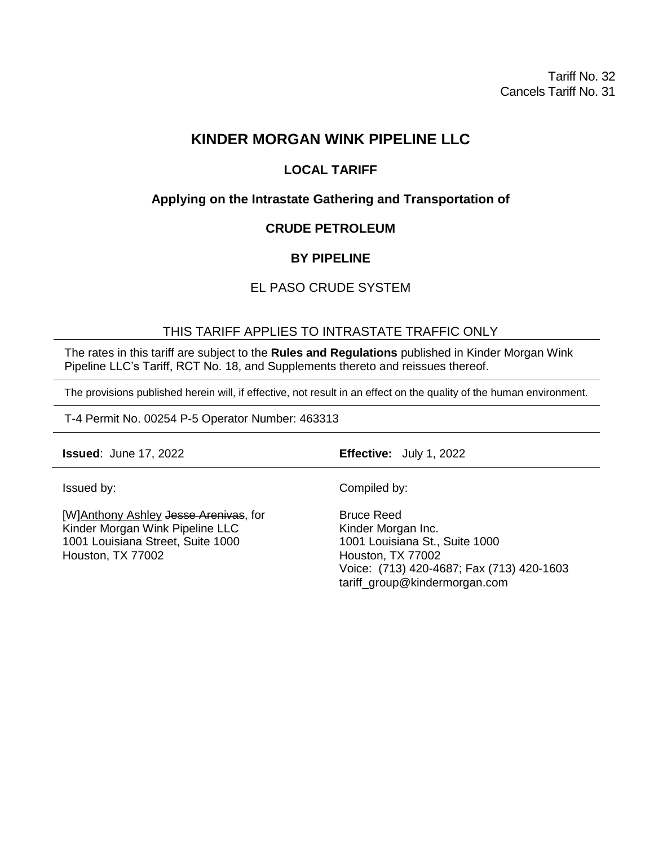Tariff No. 32 Cancels Tariff No. 31

# **KINDER MORGAN WINK PIPELINE LLC**

## **LOCAL TARIFF**

## **Applying on the Intrastate Gathering and Transportation of**

### **CRUDE PETROLEUM**

## **BY PIPELINE**

## EL PASO CRUDE SYSTEM

### THIS TARIFF APPLIES TO INTRASTATE TRAFFIC ONLY

The rates in this tariff are subject to the **Rules and Regulations** published in Kinder Morgan Wink Pipeline LLC's Tariff, RCT No. 18, and Supplements thereto and reissues thereof.

The provisions published herein will, if effective, not result in an effect on the quality of the human environment.

T-4 Permit No. 00254 P-5 Operator Number: 463313

**Issued**: June 17, 2022 **Effective:** July 1, 2022

Issued by:

[W]Anthony Ashley Jesse Arenivas, for Kinder Morgan Wink Pipeline LLC 1001 Louisiana Street, Suite 1000 Houston, TX 77002

Compiled by:

Bruce Reed Kinder Morgan Inc. 1001 Louisiana St., Suite 1000 Houston, TX 77002 Voice: (713) 420-4687; Fax (713) 420-1603 tariff\_group@kindermorgan.com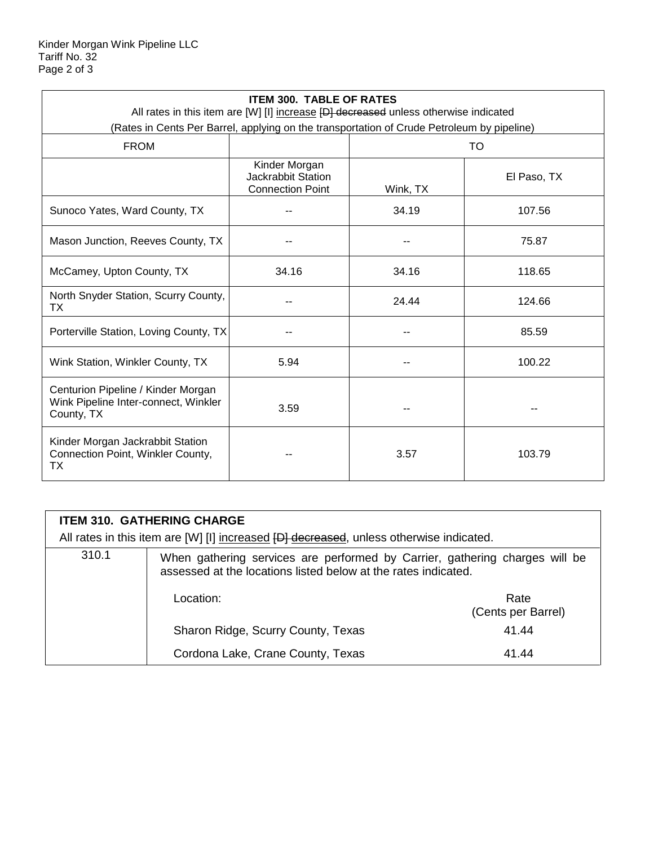| <b>ITEM 300. TABLE OF RATES</b><br>All rates in this item are [W] [I] increase [D] decreased unless otherwise indicated |                                                                |           |             |  |
|-------------------------------------------------------------------------------------------------------------------------|----------------------------------------------------------------|-----------|-------------|--|
| (Rates in Cents Per Barrel, applying on the transportation of Crude Petroleum by pipeline)                              |                                                                |           |             |  |
| <b>FROM</b>                                                                                                             |                                                                | <b>TO</b> |             |  |
|                                                                                                                         | Kinder Morgan<br>Jackrabbit Station<br><b>Connection Point</b> | Wink, TX  | El Paso, TX |  |
| Sunoco Yates, Ward County, TX                                                                                           |                                                                | 34.19     | 107.56      |  |
| Mason Junction, Reeves County, TX                                                                                       |                                                                |           | 75.87       |  |
| McCamey, Upton County, TX                                                                                               | 34.16                                                          | 34.16     | 118.65      |  |
| North Snyder Station, Scurry County,<br>TX                                                                              |                                                                | 24.44     | 124.66      |  |
| Porterville Station, Loving County, TX                                                                                  |                                                                |           | 85.59       |  |
| Wink Station, Winkler County, TX                                                                                        | 5.94                                                           |           | 100.22      |  |
| Centurion Pipeline / Kinder Morgan<br>Wink Pipeline Inter-connect, Winkler<br>County, TX                                | 3.59                                                           |           |             |  |
| Kinder Morgan Jackrabbit Station<br>Connection Point, Winkler County,<br>ТX                                             |                                                                | 3.57      | 103.79      |  |

| <b>ITEM 310. GATHERING CHARGE</b>                                                       |                                                                                                                                               |                            |  |  |
|-----------------------------------------------------------------------------------------|-----------------------------------------------------------------------------------------------------------------------------------------------|----------------------------|--|--|
| All rates in this item are [W] [I] increased [D] decreased, unless otherwise indicated. |                                                                                                                                               |                            |  |  |
| 310.1                                                                                   | When gathering services are performed by Carrier, gathering charges will be<br>assessed at the locations listed below at the rates indicated. |                            |  |  |
|                                                                                         | Location:                                                                                                                                     | Rate<br>(Cents per Barrel) |  |  |
|                                                                                         | Sharon Ridge, Scurry County, Texas                                                                                                            | 41.44                      |  |  |
|                                                                                         | Cordona Lake, Crane County, Texas                                                                                                             | 41.44                      |  |  |